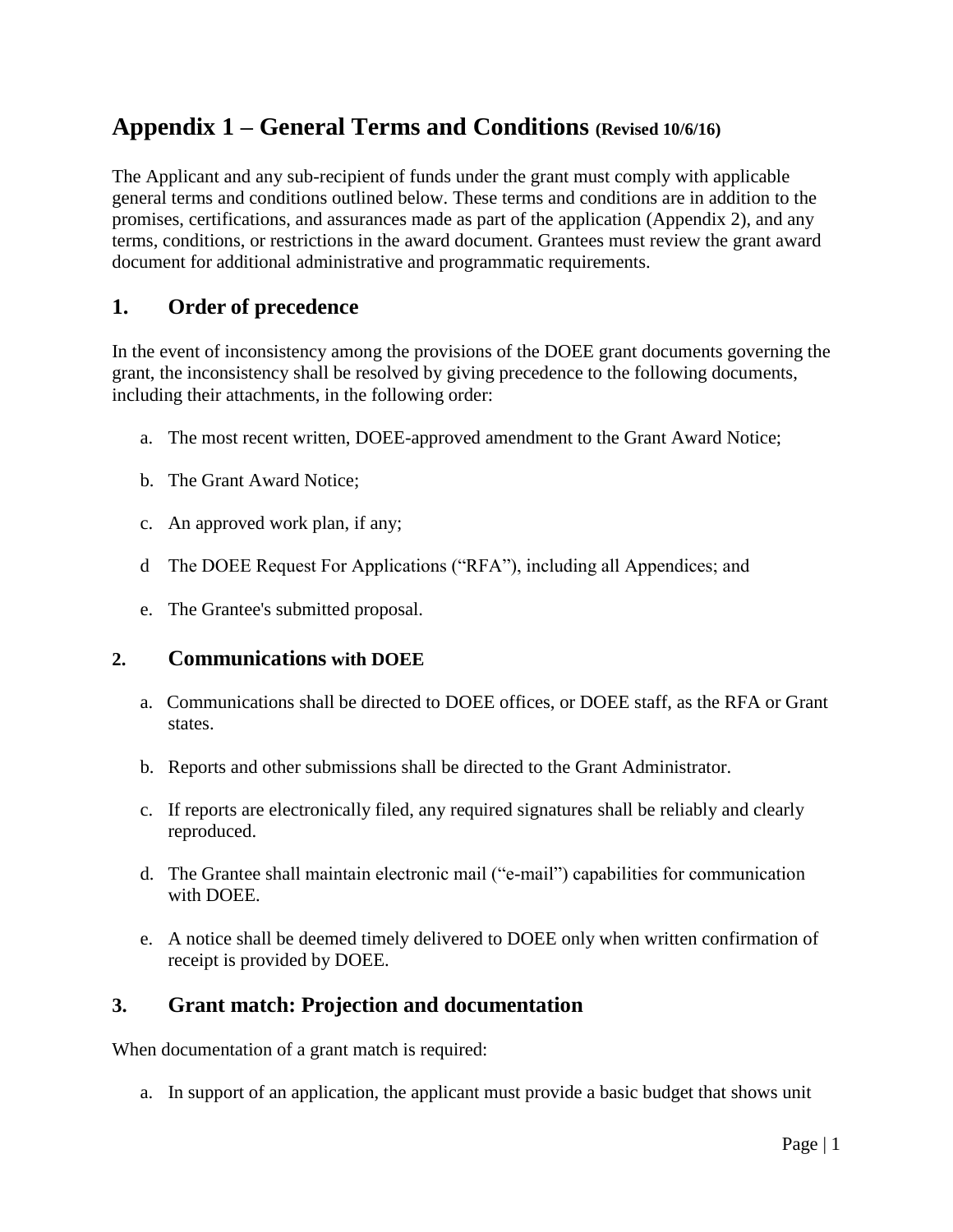## **Appendix 1 – General Terms and Conditions (Revised 10/6/16)**

The Applicant and any sub-recipient of funds under the grant must comply with applicable general terms and conditions outlined below. These terms and conditions are in addition to the promises, certifications, and assurances made as part of the application (Appendix 2), and any terms, conditions, or restrictions in the award document. Grantees must review the grant award document for additional administrative and programmatic requirements.

## **1. Order of precedence**

In the event of inconsistency among the provisions of the DOEE grant documents governing the grant, the inconsistency shall be resolved by giving precedence to the following documents, including their attachments, in the following order:

- a. The most recent written, DOEE-approved amendment to the Grant Award Notice;
- b. The Grant Award Notice;
- c. An approved work plan, if any;
- d The DOEE Request For Applications ("RFA"), including all Appendices; and
- e. The Grantee's submitted proposal.

#### **2. Communications with DOEE**

- a. Communications shall be directed to DOEE offices, or DOEE staff, as the RFA or Grant states.
- b. Reports and other submissions shall be directed to the Grant Administrator.
- c. If reports are electronically filed, any required signatures shall be reliably and clearly reproduced.
- d. The Grantee shall maintain electronic mail ("e-mail") capabilities for communication with DOEE.
- e. A notice shall be deemed timely delivered to DOEE only when written confirmation of receipt is provided by DOEE.

#### **3. Grant match: Projection and documentation**

When documentation of a grant match is required:

a. In support of an application, the applicant must provide a basic budget that shows unit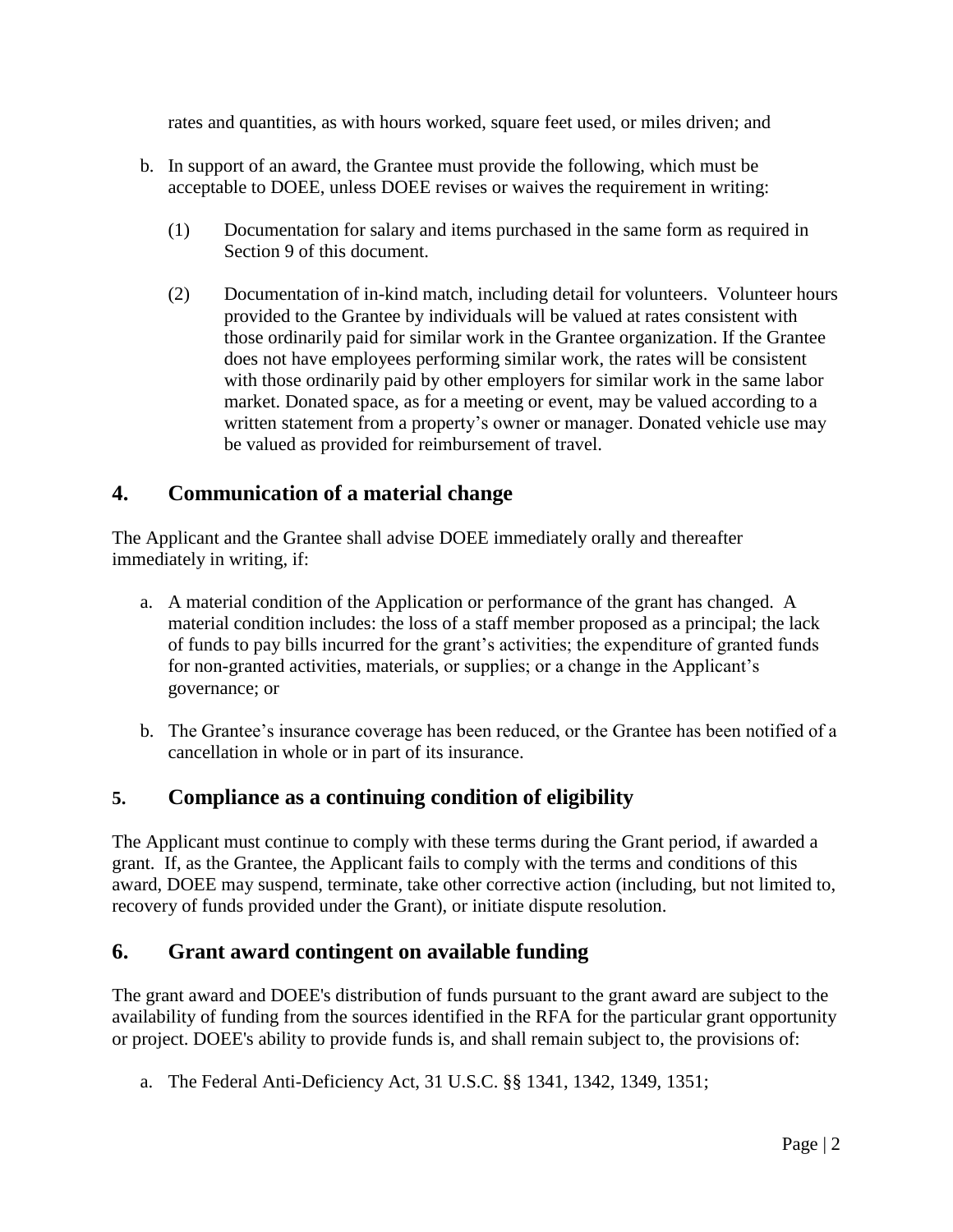rates and quantities, as with hours worked, square feet used, or miles driven; and

- b. In support of an award, the Grantee must provide the following, which must be acceptable to DOEE, unless DOEE revises or waives the requirement in writing:
	- (1) Documentation for salary and items purchased in the same form as required in Section 9 of this document.
	- (2) Documentation of in-kind match, including detail for volunteers. Volunteer hours provided to the Grantee by individuals will be valued at rates consistent with those ordinarily paid for similar work in the Grantee organization. If the Grantee does not have employees performing similar work, the rates will be consistent with those ordinarily paid by other employers for similar work in the same labor market. Donated space, as for a meeting or event, may be valued according to a written statement from a property's owner or manager. Donated vehicle use may be valued as provided for reimbursement of travel.

#### **4. Communication of a material change**

The Applicant and the Grantee shall advise DOEE immediately orally and thereafter immediately in writing, if:

- a. A material condition of the Application or performance of the grant has changed. A material condition includes: the loss of a staff member proposed as a principal; the lack of funds to pay bills incurred for the grant's activities; the expenditure of granted funds for non-granted activities, materials, or supplies; or a change in the Applicant's governance; or
- b. The Grantee's insurance coverage has been reduced, or the Grantee has been notified of a cancellation in whole or in part of its insurance.

## **5. Compliance as a continuing condition of eligibility**

The Applicant must continue to comply with these terms during the Grant period, if awarded a grant. If, as the Grantee, the Applicant fails to comply with the terms and conditions of this award, DOEE may suspend, terminate, take other corrective action (including, but not limited to, recovery of funds provided under the Grant), or initiate dispute resolution.

#### **6. Grant award contingent on available funding**

The grant award and DOEE's distribution of funds pursuant to the grant award are subject to the availability of funding from the sources identified in the RFA for the particular grant opportunity or project. DOEE's ability to provide funds is, and shall remain subject to, the provisions of:

a. The Federal Anti-Deficiency Act, 31 U.S.C. §§ 1341, 1342, 1349, 1351;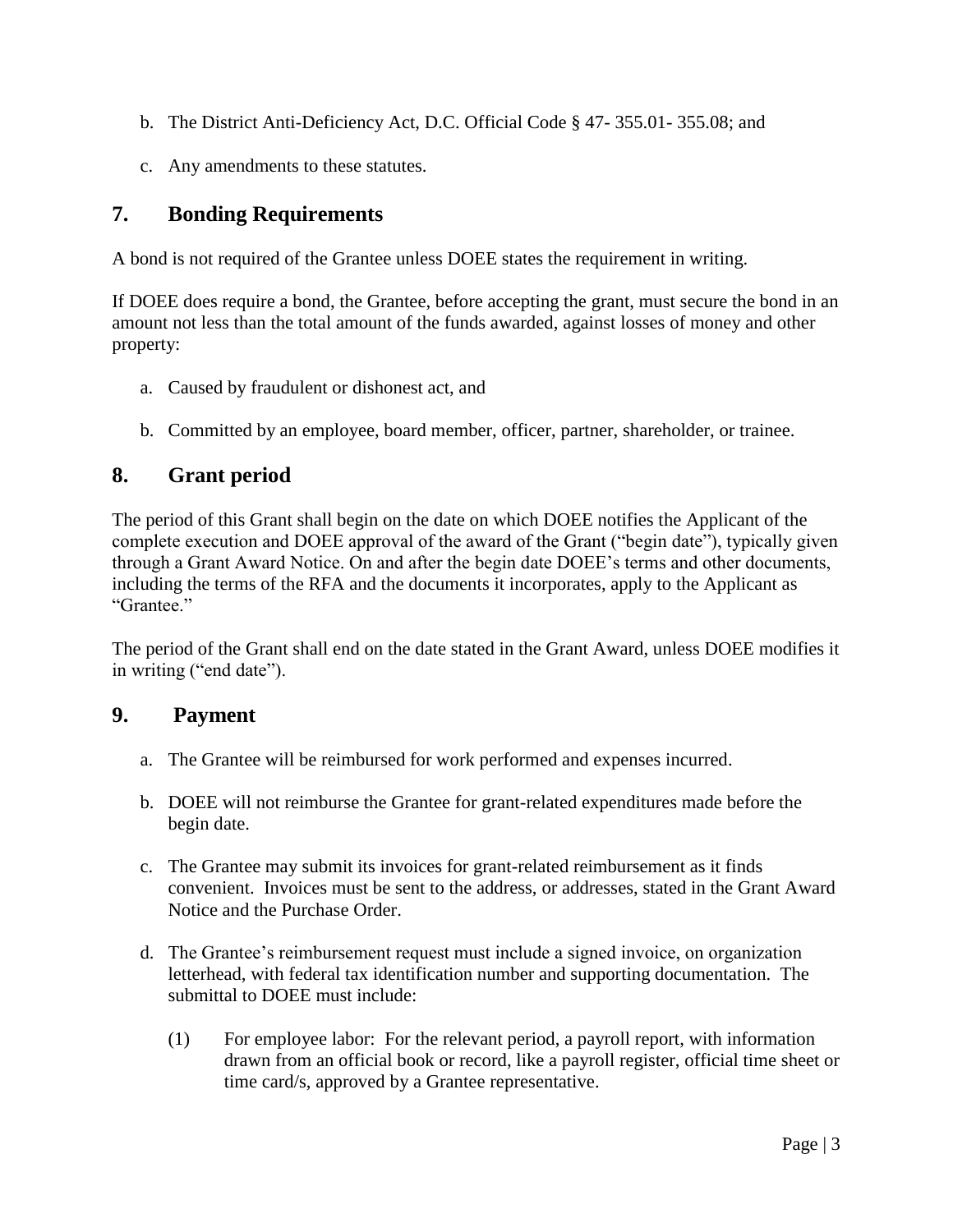- b. The District Anti-Deficiency Act, D.C. Official Code § 47- 355.01- 355.08; and
- c. Any amendments to these statutes.

## **7. Bonding Requirements**

A bond is not required of the Grantee unless DOEE states the requirement in writing.

If DOEE does require a bond, the Grantee, before accepting the grant, must secure the bond in an amount not less than the total amount of the funds awarded, against losses of money and other property:

- a. Caused by fraudulent or dishonest act, and
- b. Committed by an employee, board member, officer, partner, shareholder, or trainee.

## **8. Grant period**

The period of this Grant shall begin on the date on which DOEE notifies the Applicant of the complete execution and DOEE approval of the award of the Grant ("begin date"), typically given through a Grant Award Notice. On and after the begin date DOEE's terms and other documents, including the terms of the RFA and the documents it incorporates, apply to the Applicant as "Grantee"

The period of the Grant shall end on the date stated in the Grant Award, unless DOEE modifies it in writing ("end date").

#### **9. Payment**

- a. The Grantee will be reimbursed for work performed and expenses incurred.
- b. DOEE will not reimburse the Grantee for grant-related expenditures made before the begin date.
- c. The Grantee may submit its invoices for grant-related reimbursement as it finds convenient. Invoices must be sent to the address, or addresses, stated in the Grant Award Notice and the Purchase Order.
- d. The Grantee's reimbursement request must include a signed invoice, on organization letterhead, with federal tax identification number and supporting documentation. The submittal to DOEE must include:
	- (1) For employee labor: For the relevant period, a payroll report, with information drawn from an official book or record, like a payroll register, official time sheet or time card/s, approved by a Grantee representative.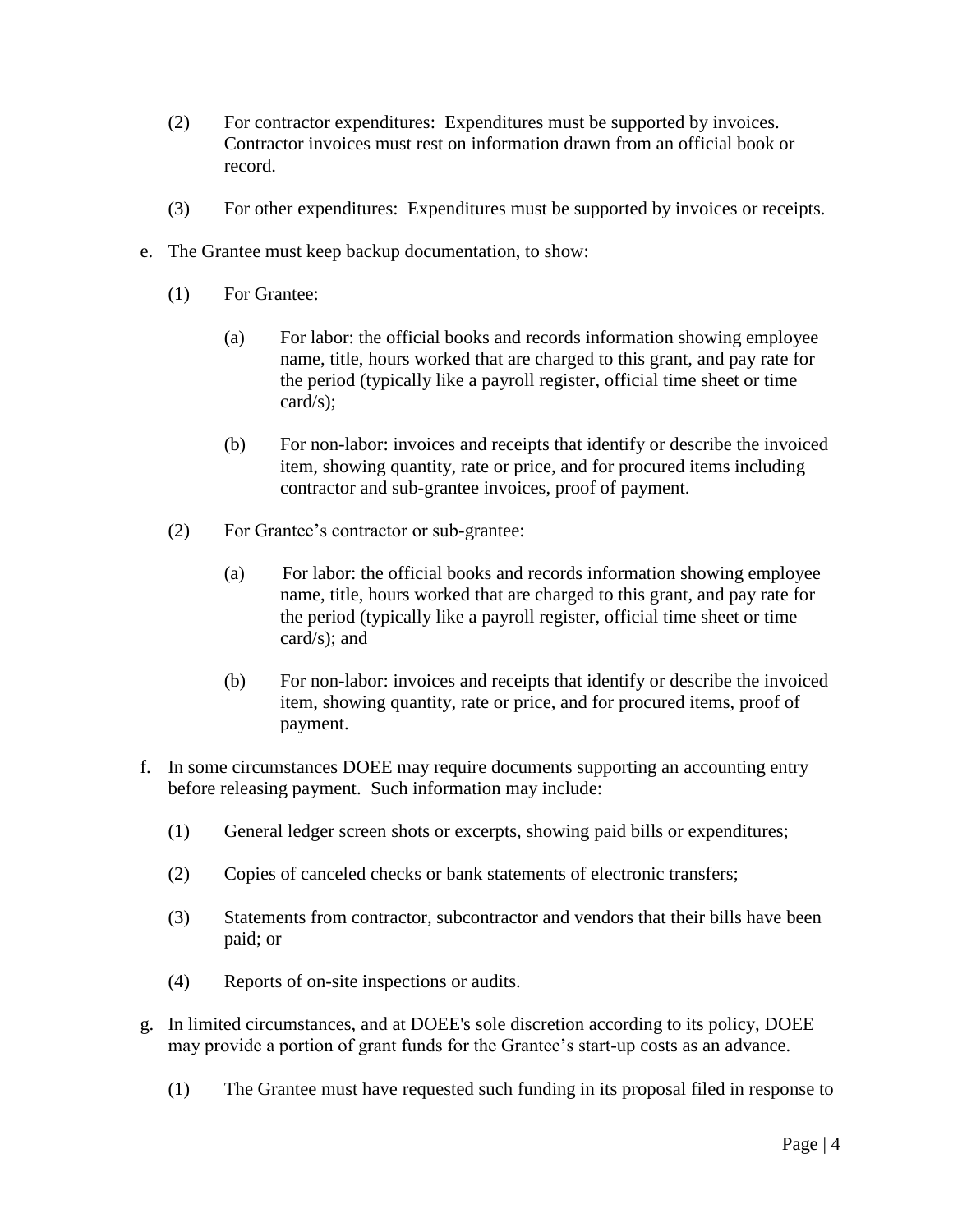- (2) For contractor expenditures: Expenditures must be supported by invoices. Contractor invoices must rest on information drawn from an official book or record.
- (3) For other expenditures: Expenditures must be supported by invoices or receipts.
- e. The Grantee must keep backup documentation, to show:
	- (1) For Grantee:
		- (a) For labor: the official books and records information showing employee name, title, hours worked that are charged to this grant, and pay rate for the period (typically like a payroll register, official time sheet or time card/s);
		- (b) For non-labor: invoices and receipts that identify or describe the invoiced item, showing quantity, rate or price, and for procured items including contractor and sub-grantee invoices, proof of payment.
	- (2) For Grantee's contractor or sub-grantee:
		- (a) For labor: the official books and records information showing employee name, title, hours worked that are charged to this grant, and pay rate for the period (typically like a payroll register, official time sheet or time card/s); and
		- (b) For non-labor: invoices and receipts that identify or describe the invoiced item, showing quantity, rate or price, and for procured items, proof of payment.
- f. In some circumstances DOEE may require documents supporting an accounting entry before releasing payment. Such information may include:
	- (1) General ledger screen shots or excerpts, showing paid bills or expenditures;
	- (2) Copies of canceled checks or bank statements of electronic transfers;
	- (3) Statements from contractor, subcontractor and vendors that their bills have been paid; or
	- (4) Reports of on-site inspections or audits.
- g. In limited circumstances, and at DOEE's sole discretion according to its policy, DOEE may provide a portion of grant funds for the Grantee's start-up costs as an advance.
	- (1) The Grantee must have requested such funding in its proposal filed in response to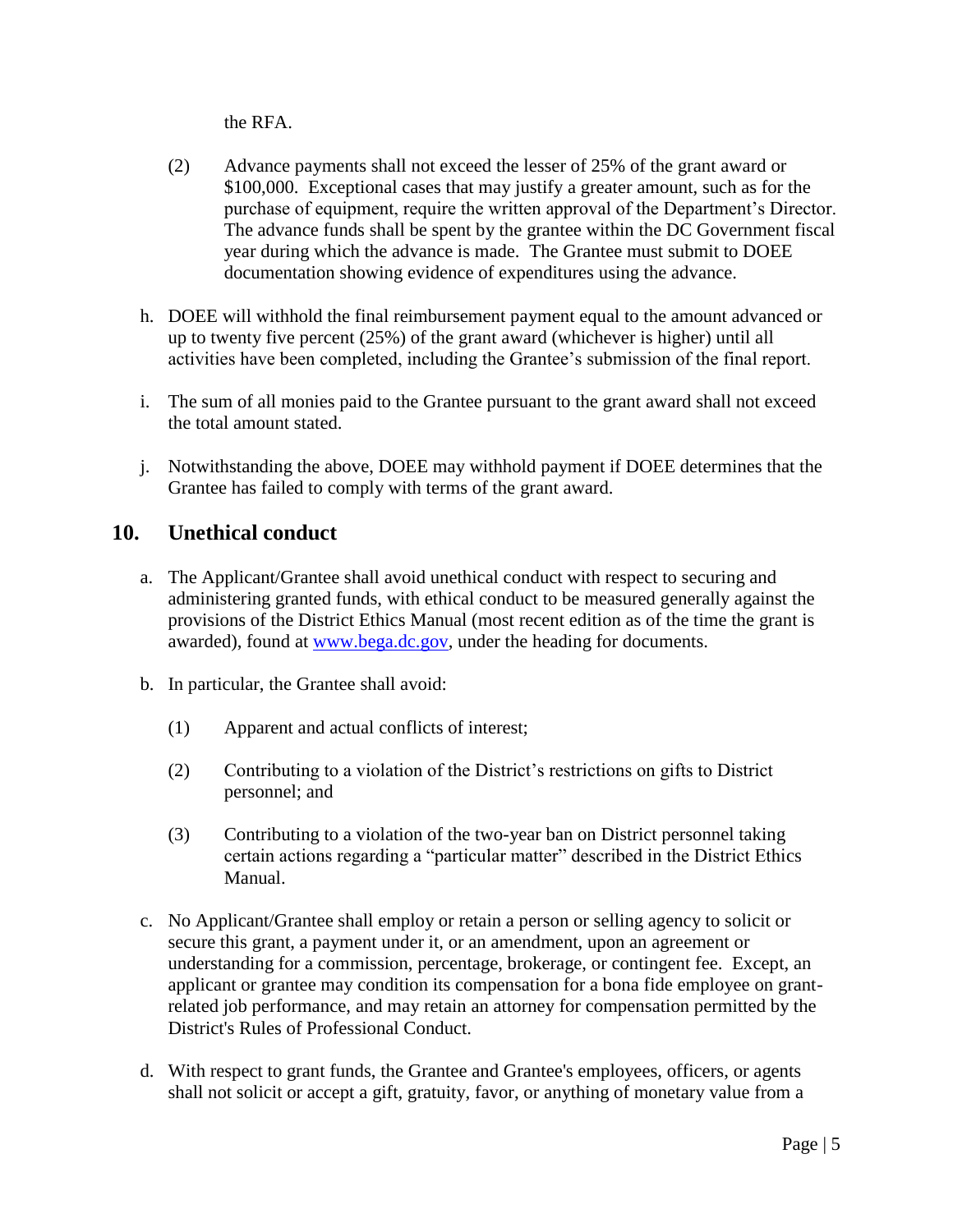the RFA.

- (2) Advance payments shall not exceed the lesser of 25% of the grant award or \$100,000. Exceptional cases that may justify a greater amount, such as for the purchase of equipment, require the written approval of the Department's Director. The advance funds shall be spent by the grantee within the DC Government fiscal year during which the advance is made. The Grantee must submit to DOEE documentation showing evidence of expenditures using the advance.
- h. DOEE will withhold the final reimbursement payment equal to the amount advanced or up to twenty five percent (25%) of the grant award (whichever is higher) until all activities have been completed, including the Grantee's submission of the final report.
- i. The sum of all monies paid to the Grantee pursuant to the grant award shall not exceed the total amount stated.
- j. Notwithstanding the above, DOEE may withhold payment if DOEE determines that the Grantee has failed to comply with terms of the grant award.

## **10. Unethical conduct**

- a. The Applicant/Grantee shall avoid unethical conduct with respect to securing and administering granted funds, with ethical conduct to be measured generally against the provisions of the District Ethics Manual (most recent edition as of the time the grant is awarded), found at [www.bega.dc.gov,](http://www.gega.dc.gov./) under the heading for documents.
- b. In particular, the Grantee shall avoid:
	- (1) Apparent and actual conflicts of interest;
	- (2) Contributing to a violation of the District's restrictions on gifts to District personnel; and
	- (3) Contributing to a violation of the two-year ban on District personnel taking certain actions regarding a "particular matter" described in the District Ethics Manual.
- c. No Applicant/Grantee shall employ or retain a person or selling agency to solicit or secure this grant, a payment under it, or an amendment, upon an agreement or understanding for a commission, percentage, brokerage, or contingent fee. Except, an applicant or grantee may condition its compensation for a bona fide employee on grantrelated job performance, and may retain an attorney for compensation permitted by the District's Rules of Professional Conduct.
- d. With respect to grant funds, the Grantee and Grantee's employees, officers, or agents shall not solicit or accept a gift, gratuity, favor, or anything of monetary value from a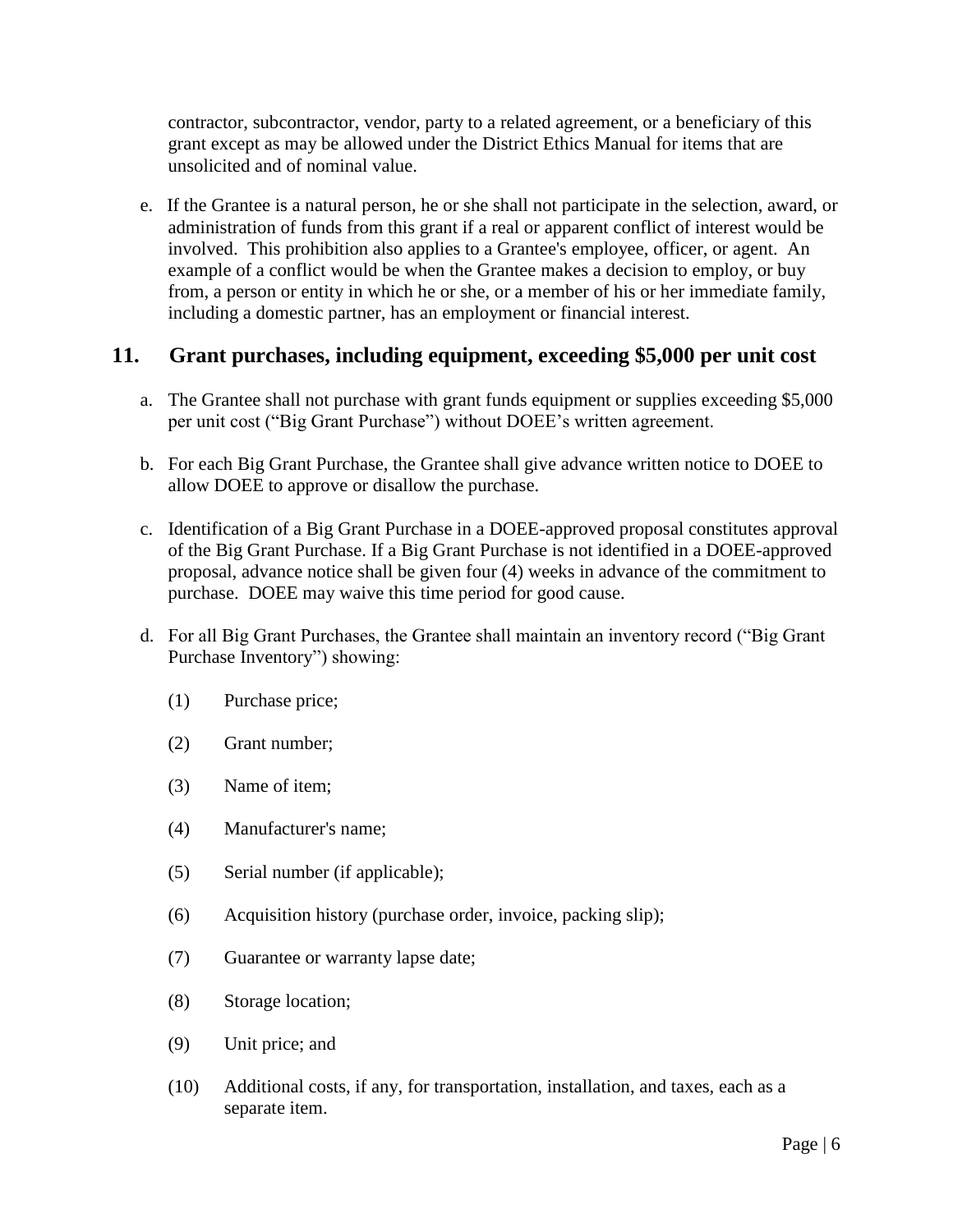contractor, subcontractor, vendor, party to a related agreement, or a beneficiary of this grant except as may be allowed under the District Ethics Manual for items that are unsolicited and of nominal value.

e. If the Grantee is a natural person, he or she shall not participate in the selection, award, or administration of funds from this grant if a real or apparent conflict of interest would be involved. This prohibition also applies to a Grantee's employee, officer, or agent. An example of a conflict would be when the Grantee makes a decision to employ, or buy from, a person or entity in which he or she, or a member of his or her immediate family, including a domestic partner, has an employment or financial interest.

#### **11. Grant purchases, including equipment, exceeding \$5,000 per unit cost**

- a. The Grantee shall not purchase with grant funds equipment or supplies exceeding \$5,000 per unit cost ("Big Grant Purchase") without DOEE's written agreement.
- b. For each Big Grant Purchase, the Grantee shall give advance written notice to DOEE to allow DOEE to approve or disallow the purchase.
- c. Identification of a Big Grant Purchase in a DOEE-approved proposal constitutes approval of the Big Grant Purchase. If a Big Grant Purchase is not identified in a DOEE-approved proposal, advance notice shall be given four (4) weeks in advance of the commitment to purchase. DOEE may waive this time period for good cause.
- d. For all Big Grant Purchases, the Grantee shall maintain an inventory record ("Big Grant Purchase Inventory") showing:
	- (1) Purchase price;
	- (2) Grant number;
	- (3) Name of item;
	- (4) Manufacturer's name;
	- (5) Serial number (if applicable);
	- (6) Acquisition history (purchase order, invoice, packing slip);
	- (7) Guarantee or warranty lapse date;
	- (8) Storage location;
	- (9) Unit price; and
	- (10) Additional costs, if any, for transportation, installation, and taxes, each as a separate item.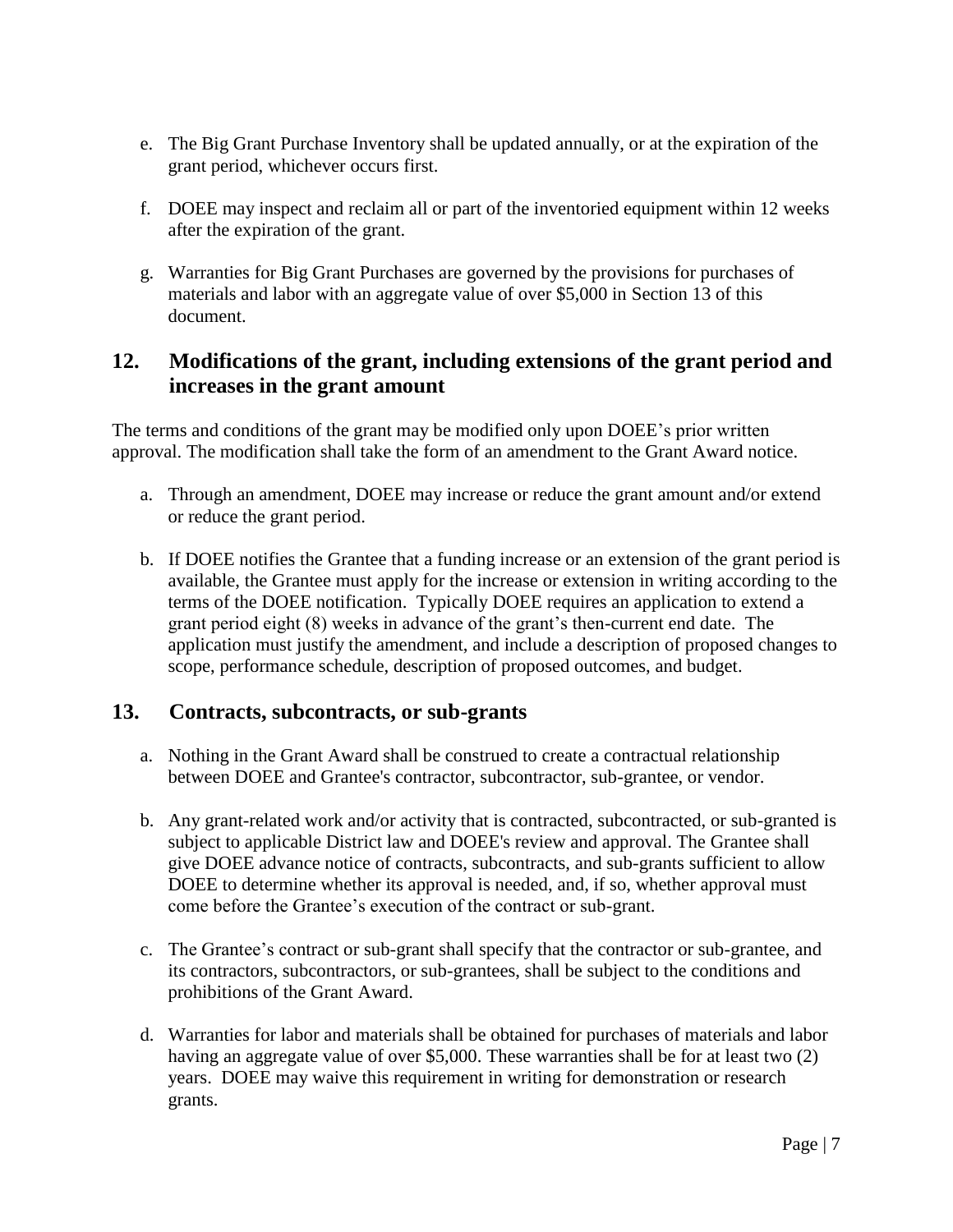- e. The Big Grant Purchase Inventory shall be updated annually, or at the expiration of the grant period, whichever occurs first.
- f. DOEE may inspect and reclaim all or part of the inventoried equipment within 12 weeks after the expiration of the grant.
- g. Warranties for Big Grant Purchases are governed by the provisions for purchases of materials and labor with an aggregate value of over \$5,000 in Section 13 of this document.

### **12. Modifications of the grant, including extensions of the grant period and increases in the grant amount**

The terms and conditions of the grant may be modified only upon DOEE's prior written approval. The modification shall take the form of an amendment to the Grant Award notice.

- a. Through an amendment, DOEE may increase or reduce the grant amount and/or extend or reduce the grant period.
- b. If DOEE notifies the Grantee that a funding increase or an extension of the grant period is available, the Grantee must apply for the increase or extension in writing according to the terms of the DOEE notification. Typically DOEE requires an application to extend a grant period eight (8) weeks in advance of the grant's then-current end date. The application must justify the amendment, and include a description of proposed changes to scope, performance schedule, description of proposed outcomes, and budget.

#### **13. Contracts, subcontracts, or sub-grants**

- a. Nothing in the Grant Award shall be construed to create a contractual relationship between DOEE and Grantee's contractor, subcontractor, sub-grantee, or vendor.
- b. Any grant-related work and/or activity that is contracted, subcontracted, or sub-granted is subject to applicable District law and DOEE's review and approval. The Grantee shall give DOEE advance notice of contracts, subcontracts, and sub-grants sufficient to allow DOEE to determine whether its approval is needed, and, if so, whether approval must come before the Grantee's execution of the contract or sub-grant.
- c. The Grantee's contract or sub-grant shall specify that the contractor or sub-grantee, and its contractors, subcontractors, or sub-grantees, shall be subject to the conditions and prohibitions of the Grant Award.
- d. Warranties for labor and materials shall be obtained for purchases of materials and labor having an aggregate value of over \$5,000. These warranties shall be for at least two (2) years. DOEE may waive this requirement in writing for demonstration or research grants.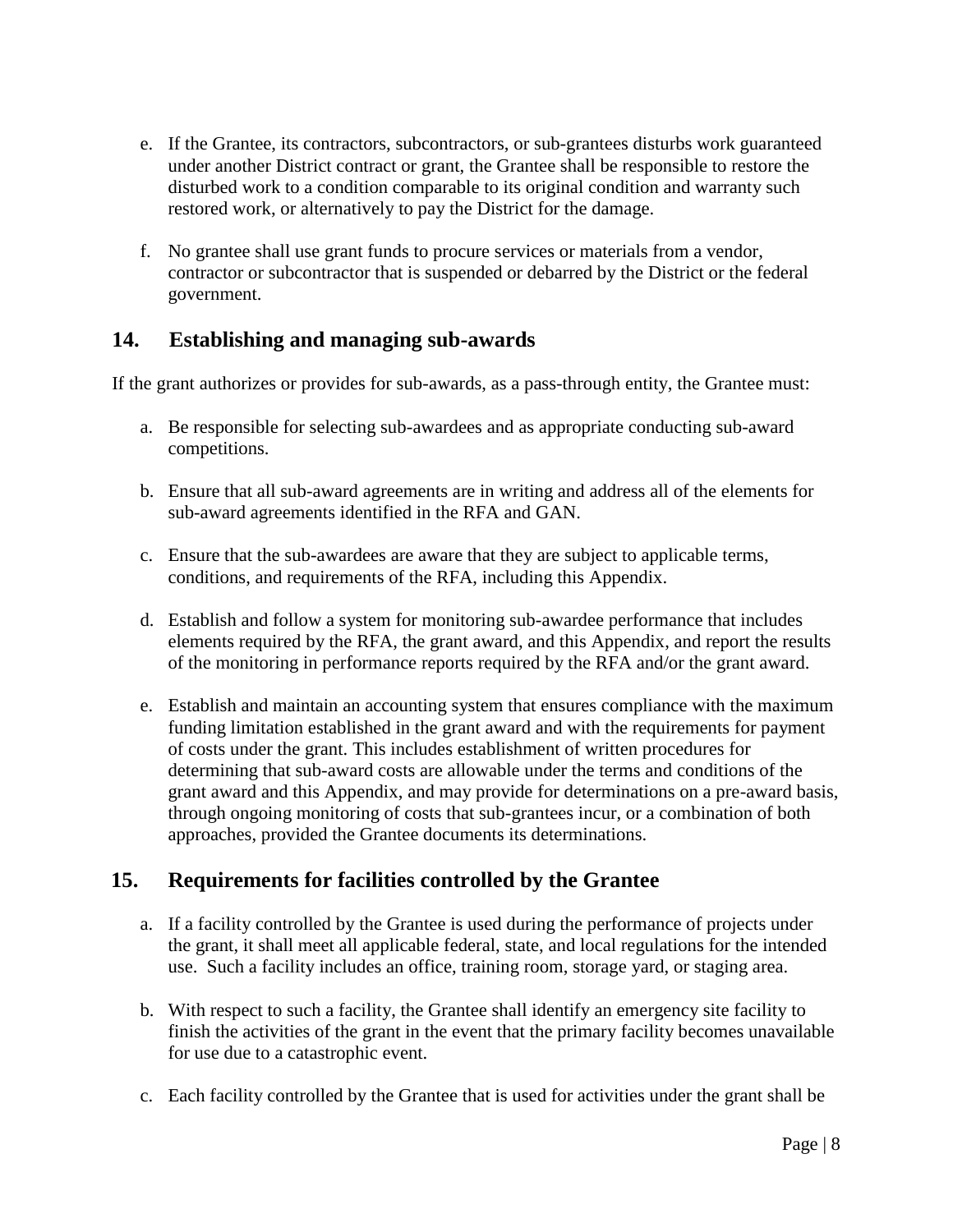- e. If the Grantee, its contractors, subcontractors, or sub-grantees disturbs work guaranteed under another District contract or grant, the Grantee shall be responsible to restore the disturbed work to a condition comparable to its original condition and warranty such restored work, or alternatively to pay the District for the damage.
- f. No grantee shall use grant funds to procure services or materials from a vendor, contractor or subcontractor that is suspended or debarred by the District or the federal government.

#### **14. Establishing and managing sub-awards**

If the grant authorizes or provides for sub-awards, as a pass-through entity, the Grantee must:

- a. Be responsible for selecting sub-awardees and as appropriate conducting sub-award competitions.
- b. Ensure that all sub-award agreements are in writing and address all of the elements for sub-award agreements identified in the RFA and GAN.
- c. Ensure that the sub-awardees are aware that they are subject to applicable terms, conditions, and requirements of the RFA, including this Appendix.
- d. Establish and follow a system for monitoring sub-awardee performance that includes elements required by the RFA, the grant award, and this Appendix, and report the results of the monitoring in performance reports required by the RFA and/or the grant award.
- e. Establish and maintain an accounting system that ensures compliance with the maximum funding limitation established in the grant award and with the requirements for payment of costs under the grant. This includes establishment of written procedures for determining that sub-award costs are allowable under the terms and conditions of the grant award and this Appendix, and may provide for determinations on a pre-award basis, through ongoing monitoring of costs that sub-grantees incur, or a combination of both approaches, provided the Grantee documents its determinations.

## **15. Requirements for facilities controlled by the Grantee**

- a. If a facility controlled by the Grantee is used during the performance of projects under the grant, it shall meet all applicable federal, state, and local regulations for the intended use. Such a facility includes an office, training room, storage yard, or staging area.
- b. With respect to such a facility, the Grantee shall identify an emergency site facility to finish the activities of the grant in the event that the primary facility becomes unavailable for use due to a catastrophic event.
- c. Each facility controlled by the Grantee that is used for activities under the grant shall be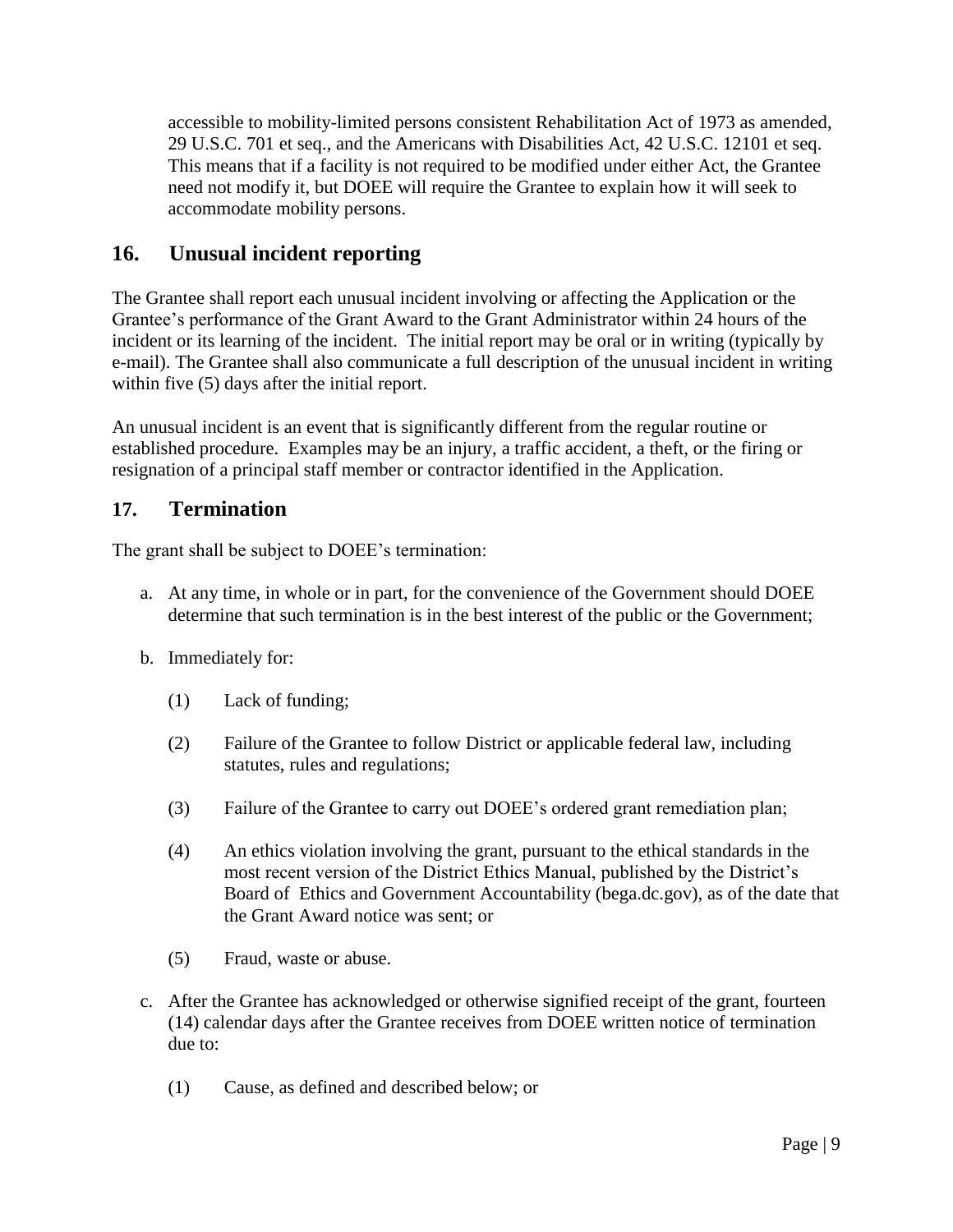accessible to mobility-limited persons consistent Rehabilitation Act of 1973 as amended, 29 U.S.C. 701 et seq., and the Americans with Disabilities Act, 42 U.S.C. 12101 et seq. This means that if a facility is not required to be modified under either Act, the Grantee need not modify it, but DOEE will require the Grantee to explain how it will seek to accommodate mobility persons.

## **16. Unusual incident reporting**

The Grantee shall report each unusual incident involving or affecting the Application or the Grantee's performance of the Grant Award to the Grant Administrator within 24 hours of the incident or its learning of the incident. The initial report may be oral or in writing (typically by e-mail). The Grantee shall also communicate a full description of the unusual incident in writing within five (5) days after the initial report.

An unusual incident is an event that is significantly different from the regular routine or established procedure. Examples may be an injury, a traffic accident, a theft, or the firing or resignation of a principal staff member or contractor identified in the Application.

#### **17. Termination**

The grant shall be subject to DOEE's termination:

- a. At any time, in whole or in part, for the convenience of the Government should DOEE determine that such termination is in the best interest of the public or the Government;
- b. Immediately for:
	- (1) Lack of funding;
	- (2) Failure of the Grantee to follow District or applicable federal law, including statutes, rules and regulations;
	- (3) Failure of the Grantee to carry out DOEE's ordered grant remediation plan;
	- (4) An ethics violation involving the grant, pursuant to the ethical standards in the most recent version of the District Ethics Manual, published by the District's Board of Ethics and Government Accountability (bega.dc.gov), as of the date that the Grant Award notice was sent; or
	- (5) Fraud, waste or abuse.
- c. After the Grantee has acknowledged or otherwise signified receipt of the grant, fourteen (14) calendar days after the Grantee receives from DOEE written notice of termination due to:
	- (1) Cause, as defined and described below; or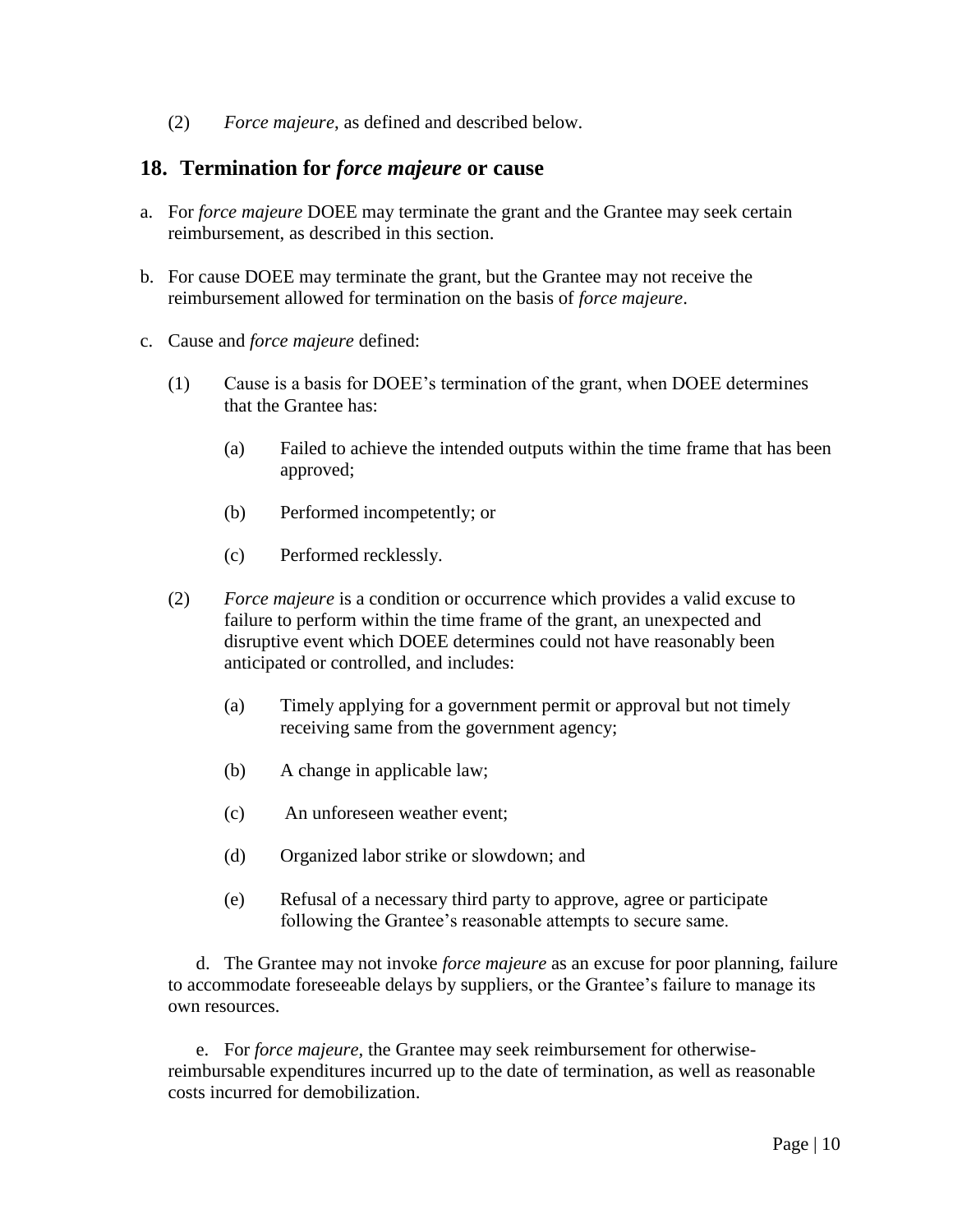(2) *Force majeure*, as defined and described below.

#### **18. Termination for** *force majeure* **or cause**

- a. For *force majeure* DOEE may terminate the grant and the Grantee may seek certain reimbursement, as described in this section.
- b. For cause DOEE may terminate the grant, but the Grantee may not receive the reimbursement allowed for termination on the basis of *force majeure*.
- c. Cause and *force majeure* defined:
	- (1) Cause is a basis for DOEE's termination of the grant, when DOEE determines that the Grantee has:
		- (a) Failed to achieve the intended outputs within the time frame that has been approved;
		- (b) Performed incompetently; or
		- (c) Performed recklessly.
	- (2) *Force majeure* is a condition or occurrence which provides a valid excuse to failure to perform within the time frame of the grant, an unexpected and disruptive event which DOEE determines could not have reasonably been anticipated or controlled, and includes:
		- (a) Timely applying for a government permit or approval but not timely receiving same from the government agency;
		- (b) A change in applicable law;
		- (c) An unforeseen weather event;
		- (d) Organized labor strike or slowdown; and
		- (e) Refusal of a necessary third party to approve, agree or participate following the Grantee's reasonable attempts to secure same.

d. The Grantee may not invoke *force majeure* as an excuse for poor planning, failure to accommodate foreseeable delays by suppliers, or the Grantee's failure to manage its own resources.

e. For *force majeure,* the Grantee may seek reimbursement for otherwisereimbursable expenditures incurred up to the date of termination, as well as reasonable costs incurred for demobilization.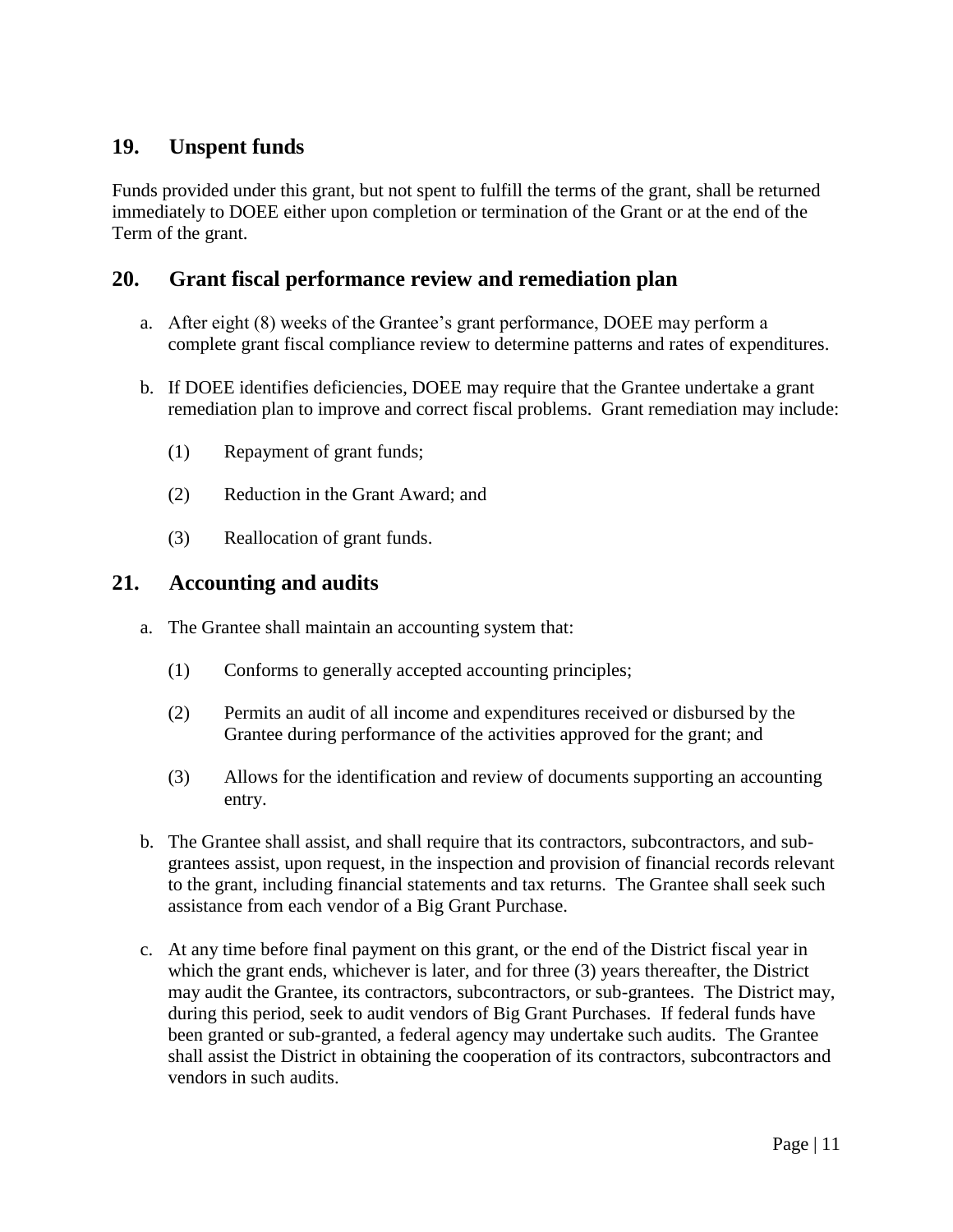## **19. Unspent funds**

Funds provided under this grant, but not spent to fulfill the terms of the grant, shall be returned immediately to DOEE either upon completion or termination of the Grant or at the end of the Term of the grant.

#### **20. Grant fiscal performance review and remediation plan**

- a. After eight (8) weeks of the Grantee's grant performance, DOEE may perform a complete grant fiscal compliance review to determine patterns and rates of expenditures.
- b. If DOEE identifies deficiencies, DOEE may require that the Grantee undertake a grant remediation plan to improve and correct fiscal problems. Grant remediation may include:
	- (1) Repayment of grant funds;
	- (2) Reduction in the Grant Award; and
	- (3) Reallocation of grant funds.

#### **21. Accounting and audits**

- a. The Grantee shall maintain an accounting system that:
	- (1) Conforms to generally accepted accounting principles;
	- (2) Permits an audit of all income and expenditures received or disbursed by the Grantee during performance of the activities approved for the grant; and
	- (3) Allows for the identification and review of documents supporting an accounting entry.
- b. The Grantee shall assist, and shall require that its contractors, subcontractors, and subgrantees assist, upon request, in the inspection and provision of financial records relevant to the grant, including financial statements and tax returns. The Grantee shall seek such assistance from each vendor of a Big Grant Purchase.
- c. At any time before final payment on this grant, or the end of the District fiscal year in which the grant ends, whichever is later, and for three (3) years thereafter, the District may audit the Grantee, its contractors, subcontractors, or sub-grantees. The District may, during this period, seek to audit vendors of Big Grant Purchases. If federal funds have been granted or sub-granted, a federal agency may undertake such audits. The Grantee shall assist the District in obtaining the cooperation of its contractors, subcontractors and vendors in such audits.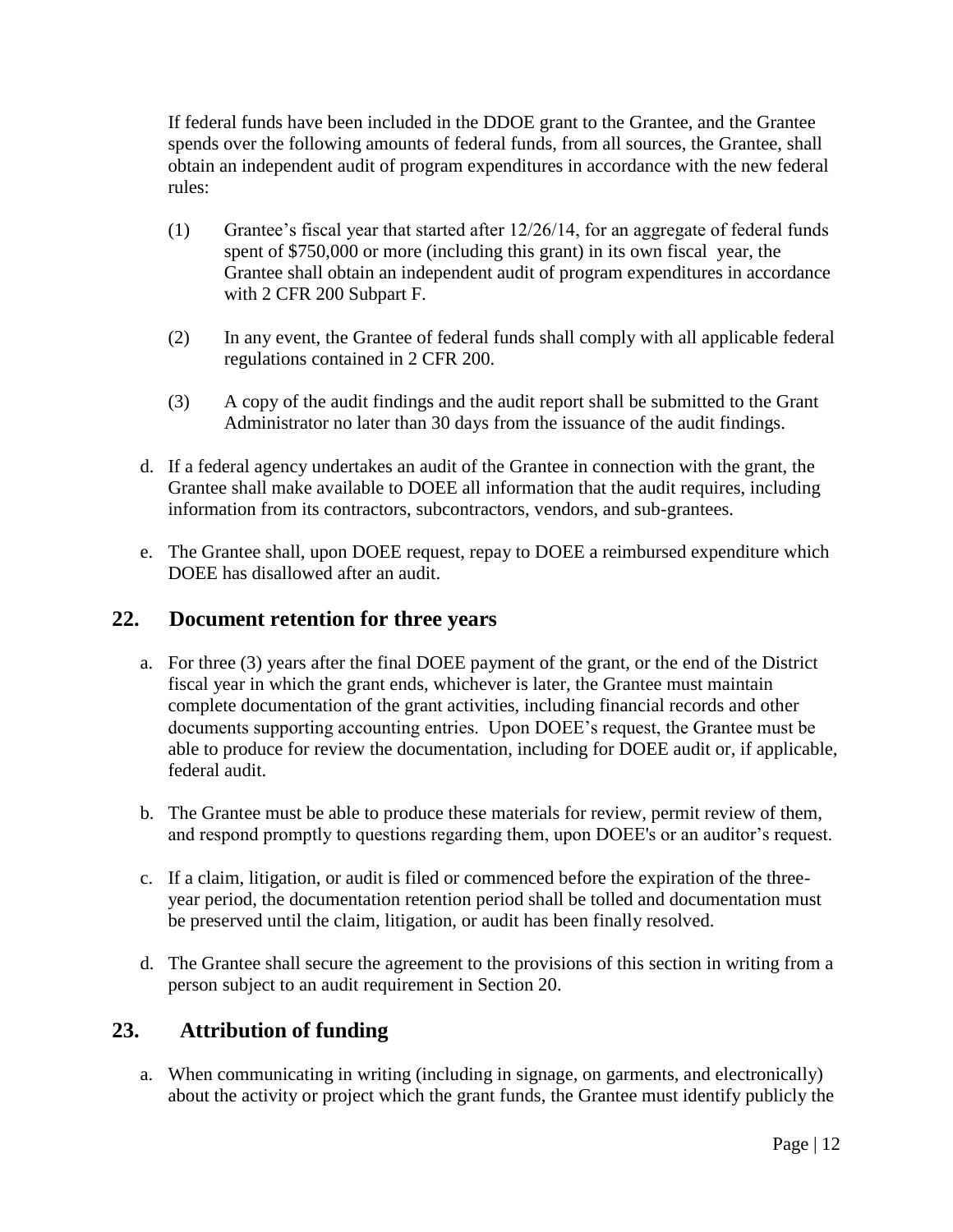If federal funds have been included in the DDOE grant to the Grantee, and the Grantee spends over the following amounts of federal funds, from all sources, the Grantee, shall obtain an independent audit of program expenditures in accordance with the new federal rules:

- (1) Grantee's fiscal year that started after 12/26/14, for an aggregate of federal funds spent of \$750,000 or more (including this grant) in its own fiscal year, the Grantee shall obtain an independent audit of program expenditures in accordance with 2 CFR 200 Subpart F.
- (2) In any event, the Grantee of federal funds shall comply with all applicable federal regulations contained in 2 CFR 200.
- (3) A copy of the audit findings and the audit report shall be submitted to the Grant Administrator no later than 30 days from the issuance of the audit findings.
- d. If a federal agency undertakes an audit of the Grantee in connection with the grant, the Grantee shall make available to DOEE all information that the audit requires, including information from its contractors, subcontractors, vendors, and sub-grantees.
- e. The Grantee shall, upon DOEE request, repay to DOEE a reimbursed expenditure which DOEE has disallowed after an audit.

#### **22. Document retention for three years**

- a. For three (3) years after the final DOEE payment of the grant, or the end of the District fiscal year in which the grant ends, whichever is later, the Grantee must maintain complete documentation of the grant activities, including financial records and other documents supporting accounting entries. Upon DOEE's request, the Grantee must be able to produce for review the documentation, including for DOEE audit or, if applicable, federal audit.
- b. The Grantee must be able to produce these materials for review, permit review of them, and respond promptly to questions regarding them, upon DOEE's or an auditor's request.
- c. If a claim, litigation, or audit is filed or commenced before the expiration of the threeyear period, the documentation retention period shall be tolled and documentation must be preserved until the claim, litigation, or audit has been finally resolved.
- d. The Grantee shall secure the agreement to the provisions of this section in writing from a person subject to an audit requirement in Section 20.

## **23. Attribution of funding**

a. When communicating in writing (including in signage, on garments, and electronically) about the activity or project which the grant funds, the Grantee must identify publicly the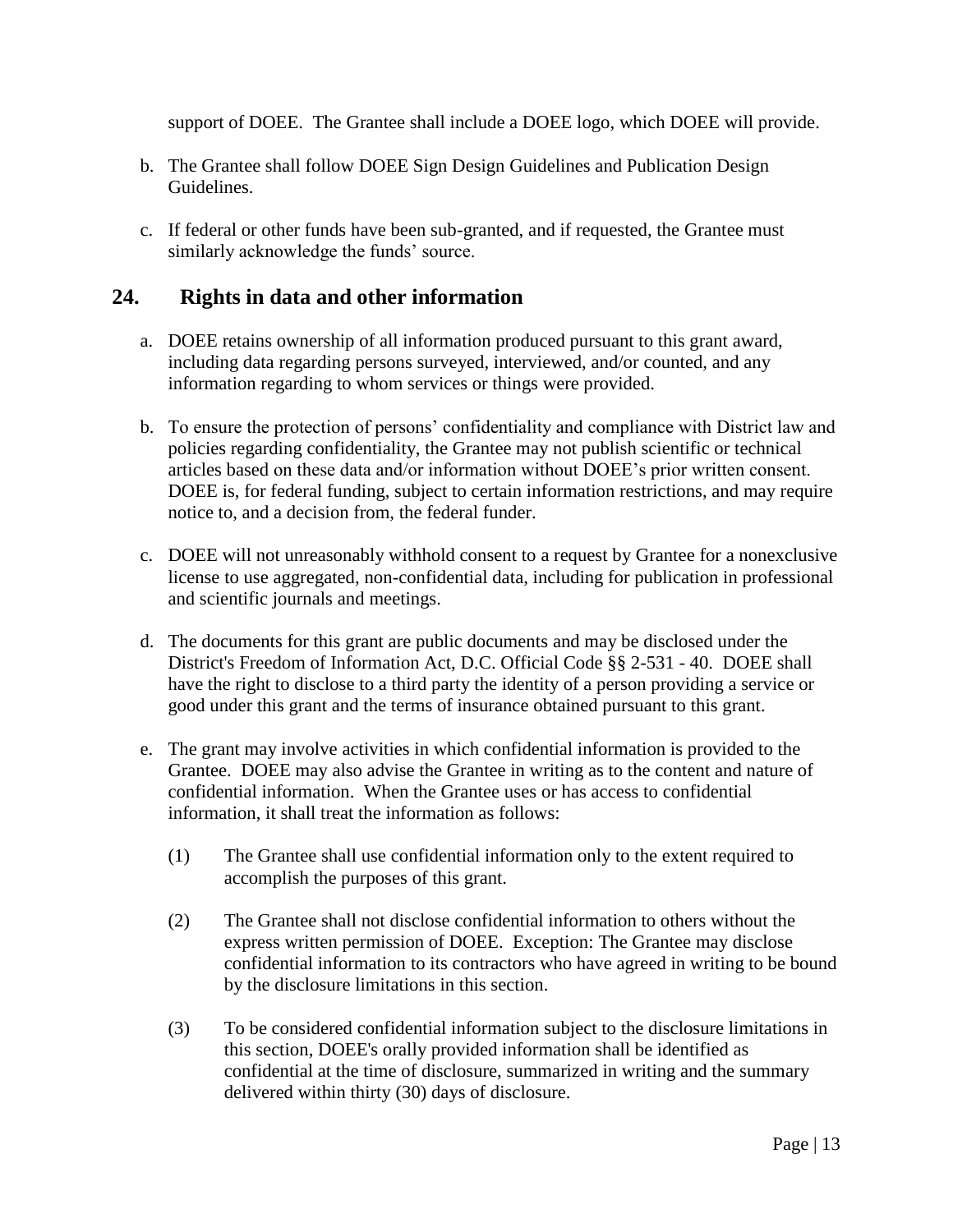support of DOEE. The Grantee shall include a DOEE logo, which DOEE will provide.

- b. The Grantee shall follow DOEE Sign Design Guidelines and Publication Design Guidelines.
- c. If federal or other funds have been sub-granted, and if requested, the Grantee must similarly acknowledge the funds' source.

## **24. Rights in data and other information**

- a. DOEE retains ownership of all information produced pursuant to this grant award, including data regarding persons surveyed, interviewed, and/or counted, and any information regarding to whom services or things were provided.
- b. To ensure the protection of persons' confidentiality and compliance with District law and policies regarding confidentiality, the Grantee may not publish scientific or technical articles based on these data and/or information without DOEE's prior written consent. DOEE is, for federal funding, subject to certain information restrictions, and may require notice to, and a decision from, the federal funder.
- c. DOEE will not unreasonably withhold consent to a request by Grantee for a nonexclusive license to use aggregated, non-confidential data, including for publication in professional and scientific journals and meetings.
- d. The documents for this grant are public documents and may be disclosed under the District's Freedom of Information Act, D.C. Official Code §§ 2-531 - 40. DOEE shall have the right to disclose to a third party the identity of a person providing a service or good under this grant and the terms of insurance obtained pursuant to this grant.
- e. The grant may involve activities in which confidential information is provided to the Grantee. DOEE may also advise the Grantee in writing as to the content and nature of confidential information. When the Grantee uses or has access to confidential information, it shall treat the information as follows:
	- (1) The Grantee shall use confidential information only to the extent required to accomplish the purposes of this grant.
	- (2) The Grantee shall not disclose confidential information to others without the express written permission of DOEE. Exception: The Grantee may disclose confidential information to its contractors who have agreed in writing to be bound by the disclosure limitations in this section.
	- (3) To be considered confidential information subject to the disclosure limitations in this section, DOEE's orally provided information shall be identified as confidential at the time of disclosure, summarized in writing and the summary delivered within thirty (30) days of disclosure.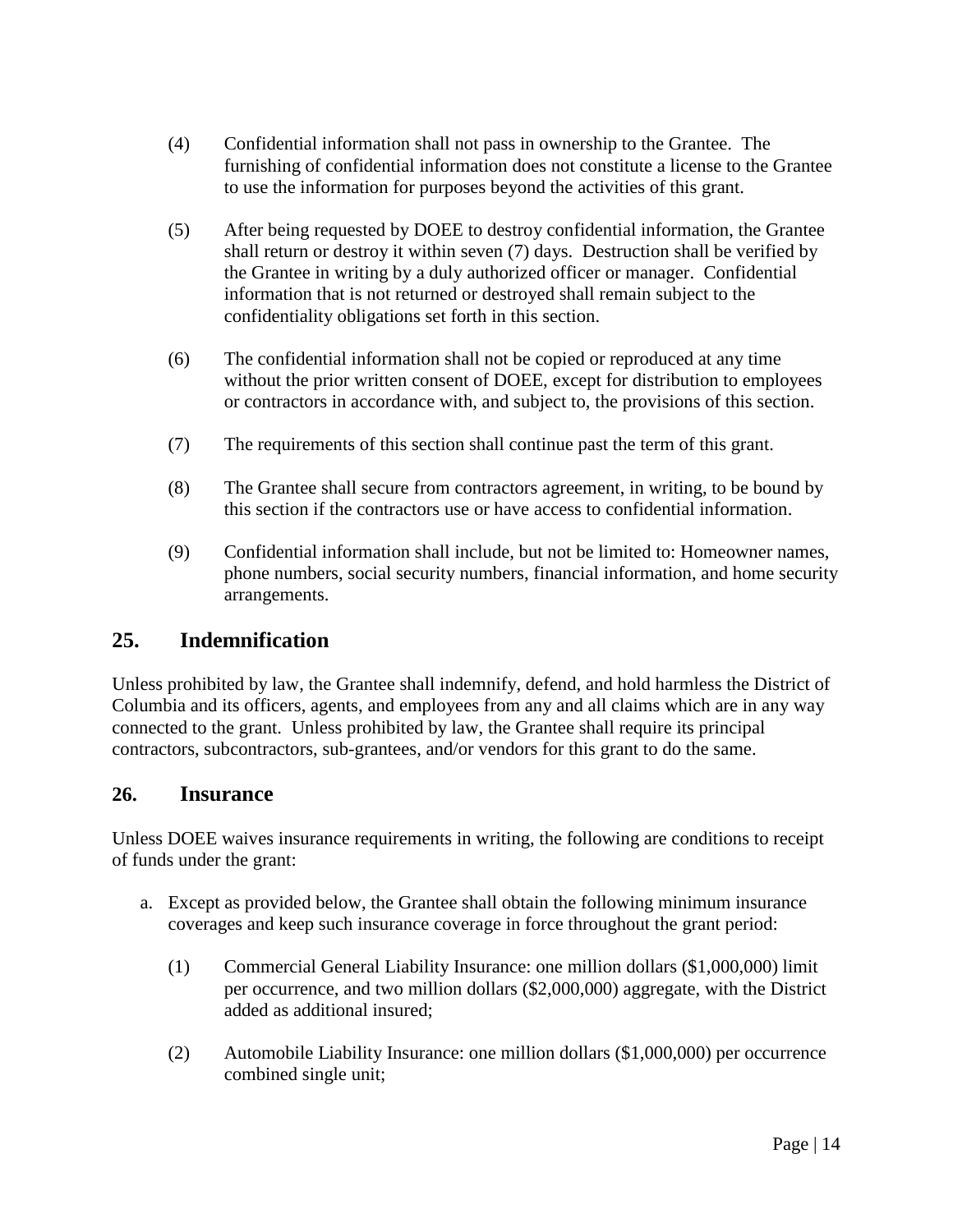- (4) Confidential information shall not pass in ownership to the Grantee. The furnishing of confidential information does not constitute a license to the Grantee to use the information for purposes beyond the activities of this grant.
- (5) After being requested by DOEE to destroy confidential information, the Grantee shall return or destroy it within seven (7) days. Destruction shall be verified by the Grantee in writing by a duly authorized officer or manager. Confidential information that is not returned or destroyed shall remain subject to the confidentiality obligations set forth in this section.
- (6) The confidential information shall not be copied or reproduced at any time without the prior written consent of DOEE, except for distribution to employees or contractors in accordance with, and subject to, the provisions of this section.
- (7) The requirements of this section shall continue past the term of this grant.
- (8) The Grantee shall secure from contractors agreement, in writing, to be bound by this section if the contractors use or have access to confidential information.
- (9) Confidential information shall include, but not be limited to: Homeowner names, phone numbers, social security numbers, financial information, and home security arrangements.

## **25. Indemnification**

Unless prohibited by law, the Grantee shall indemnify, defend, and hold harmless the District of Columbia and its officers, agents, and employees from any and all claims which are in any way connected to the grant. Unless prohibited by law, the Grantee shall require its principal contractors, subcontractors, sub-grantees, and/or vendors for this grant to do the same.

#### **26. Insurance**

Unless DOEE waives insurance requirements in writing, the following are conditions to receipt of funds under the grant:

- a. Except as provided below, the Grantee shall obtain the following minimum insurance coverages and keep such insurance coverage in force throughout the grant period:
	- (1) Commercial General Liability Insurance: one million dollars (\$1,000,000) limit per occurrence, and two million dollars (\$2,000,000) aggregate, with the District added as additional insured;
	- (2) Automobile Liability Insurance: one million dollars (\$1,000,000) per occurrence combined single unit;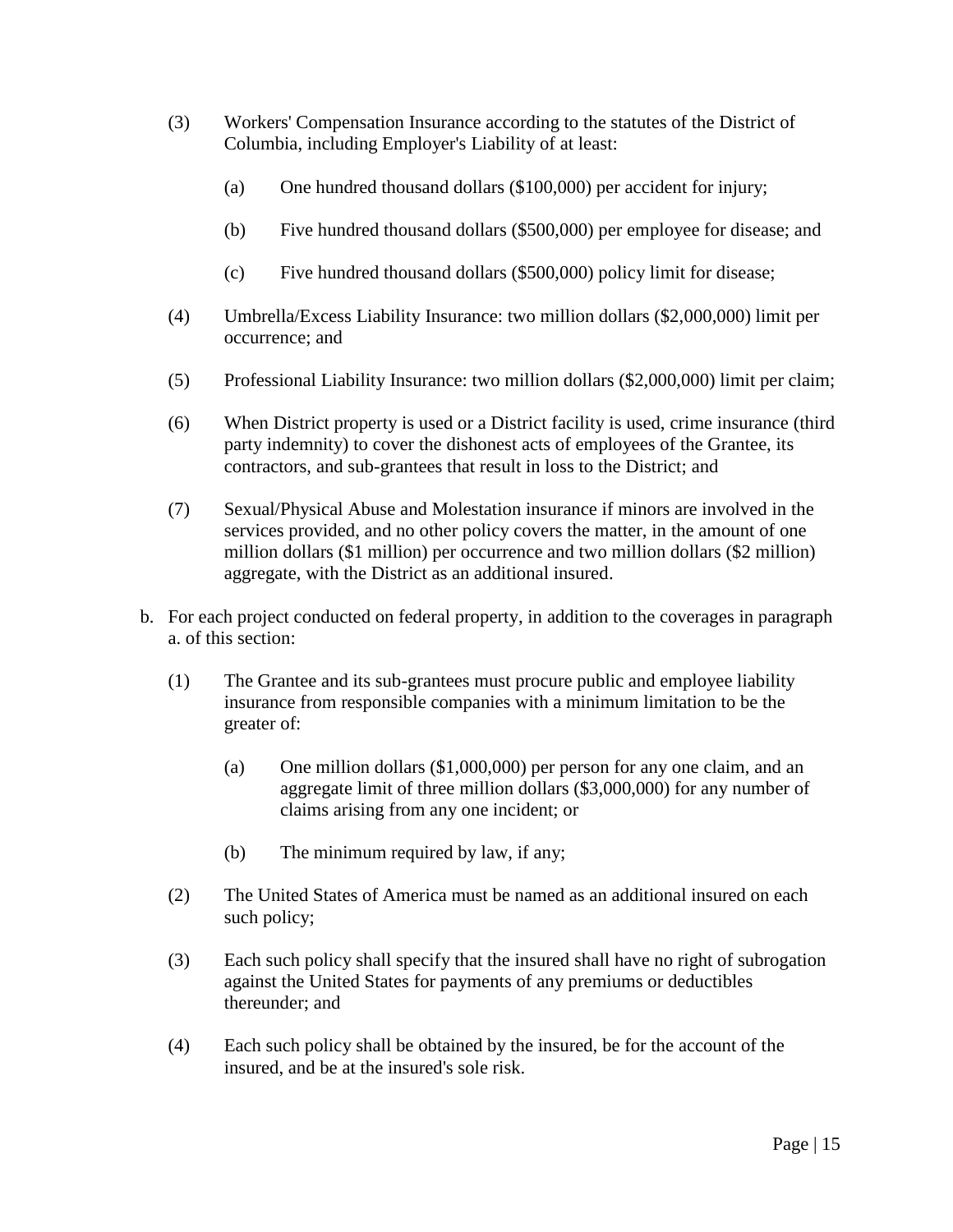- (3) Workers' Compensation Insurance according to the statutes of the District of Columbia, including Employer's Liability of at least:
	- (a) One hundred thousand dollars (\$100,000) per accident for injury;
	- (b) Five hundred thousand dollars (\$500,000) per employee for disease; and
	- (c) Five hundred thousand dollars (\$500,000) policy limit for disease;
- (4) Umbrella/Excess Liability Insurance: two million dollars (\$2,000,000) limit per occurrence; and
- (5) Professional Liability Insurance: two million dollars (\$2,000,000) limit per claim;
- (6) When District property is used or a District facility is used, crime insurance (third party indemnity) to cover the dishonest acts of employees of the Grantee, its contractors, and sub-grantees that result in loss to the District; and
- (7) Sexual/Physical Abuse and Molestation insurance if minors are involved in the services provided, and no other policy covers the matter, in the amount of one million dollars (\$1 million) per occurrence and two million dollars (\$2 million) aggregate, with the District as an additional insured.
- b. For each project conducted on federal property, in addition to the coverages in paragraph a. of this section:
	- (1) The Grantee and its sub-grantees must procure public and employee liability insurance from responsible companies with a minimum limitation to be the greater of:
		- (a) One million dollars (\$1,000,000) per person for any one claim, and an aggregate limit of three million dollars (\$3,000,000) for any number of claims arising from any one incident; or
		- (b) The minimum required by law, if any;
	- (2) The United States of America must be named as an additional insured on each such policy;
	- (3) Each such policy shall specify that the insured shall have no right of subrogation against the United States for payments of any premiums or deductibles thereunder; and
	- (4) Each such policy shall be obtained by the insured, be for the account of the insured, and be at the insured's sole risk.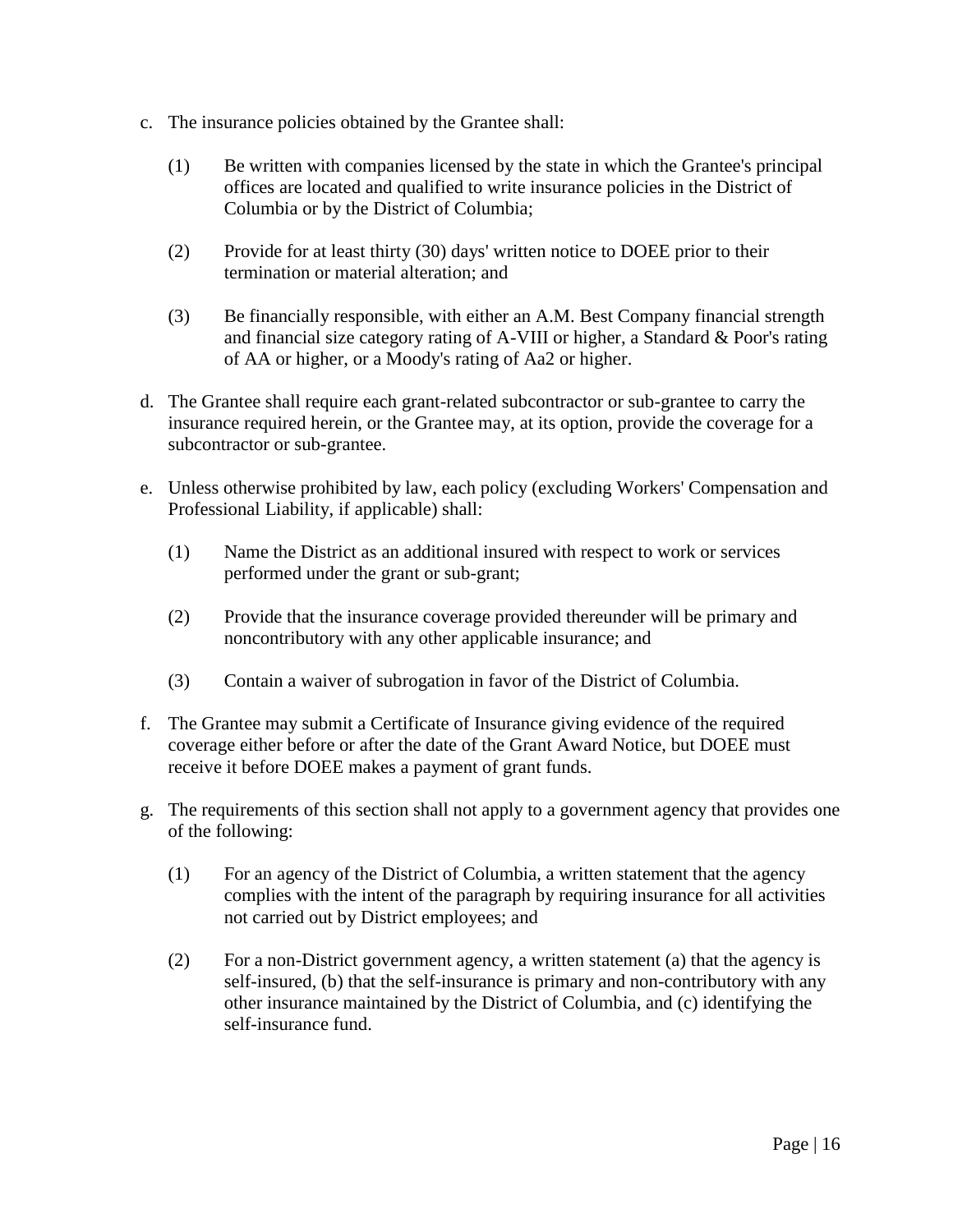- c. The insurance policies obtained by the Grantee shall:
	- (1) Be written with companies licensed by the state in which the Grantee's principal offices are located and qualified to write insurance policies in the District of Columbia or by the District of Columbia;
	- (2) Provide for at least thirty (30) days' written notice to DOEE prior to their termination or material alteration; and
	- (3) Be financially responsible, with either an A.M. Best Company financial strength and financial size category rating of A-VIII or higher, a Standard & Poor's rating of AA or higher, or a Moody's rating of Aa2 or higher.
- d. The Grantee shall require each grant-related subcontractor or sub-grantee to carry the insurance required herein, or the Grantee may, at its option, provide the coverage for a subcontractor or sub-grantee.
- e. Unless otherwise prohibited by law, each policy (excluding Workers' Compensation and Professional Liability, if applicable) shall:
	- (1) Name the District as an additional insured with respect to work or services performed under the grant or sub-grant;
	- (2) Provide that the insurance coverage provided thereunder will be primary and noncontributory with any other applicable insurance; and
	- (3) Contain a waiver of subrogation in favor of the District of Columbia.
- f. The Grantee may submit a Certificate of Insurance giving evidence of the required coverage either before or after the date of the Grant Award Notice, but DOEE must receive it before DOEE makes a payment of grant funds.
- g. The requirements of this section shall not apply to a government agency that provides one of the following:
	- (1) For an agency of the District of Columbia, a written statement that the agency complies with the intent of the paragraph by requiring insurance for all activities not carried out by District employees; and
	- (2) For a non-District government agency, a written statement (a) that the agency is self-insured, (b) that the self-insurance is primary and non-contributory with any other insurance maintained by the District of Columbia, and (c) identifying the self-insurance fund.